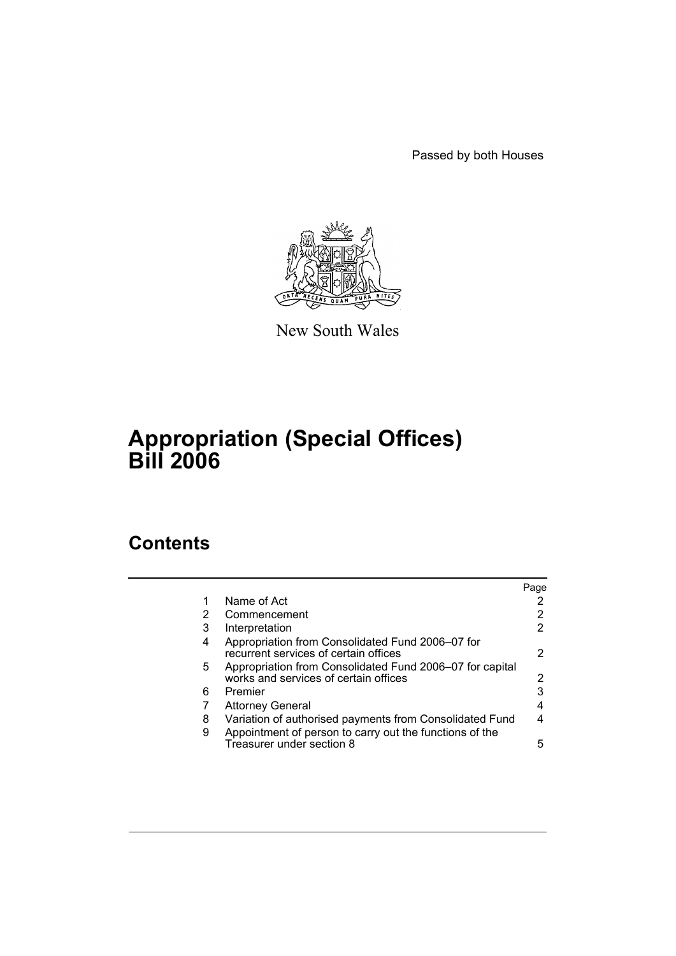Passed by both Houses



New South Wales

# **Appropriation (Special Offices) Bill 2006**

# **Contents**

|                                                                                                   | Page |
|---------------------------------------------------------------------------------------------------|------|
| Name of Act                                                                                       | 2    |
| Commencement                                                                                      | 2    |
| Interpretation                                                                                    | 2    |
| Appropriation from Consolidated Fund 2006–07 for<br>recurrent services of certain offices         | 2    |
| Appropriation from Consolidated Fund 2006-07 for capital<br>works and services of certain offices | 2    |
| Premier                                                                                           | 3    |
| <b>Attorney General</b>                                                                           | 4    |
| Variation of authorised payments from Consolidated Fund                                           | 4    |
| Appointment of person to carry out the functions of the<br>Treasurer under section 8              | 5    |
|                                                                                                   |      |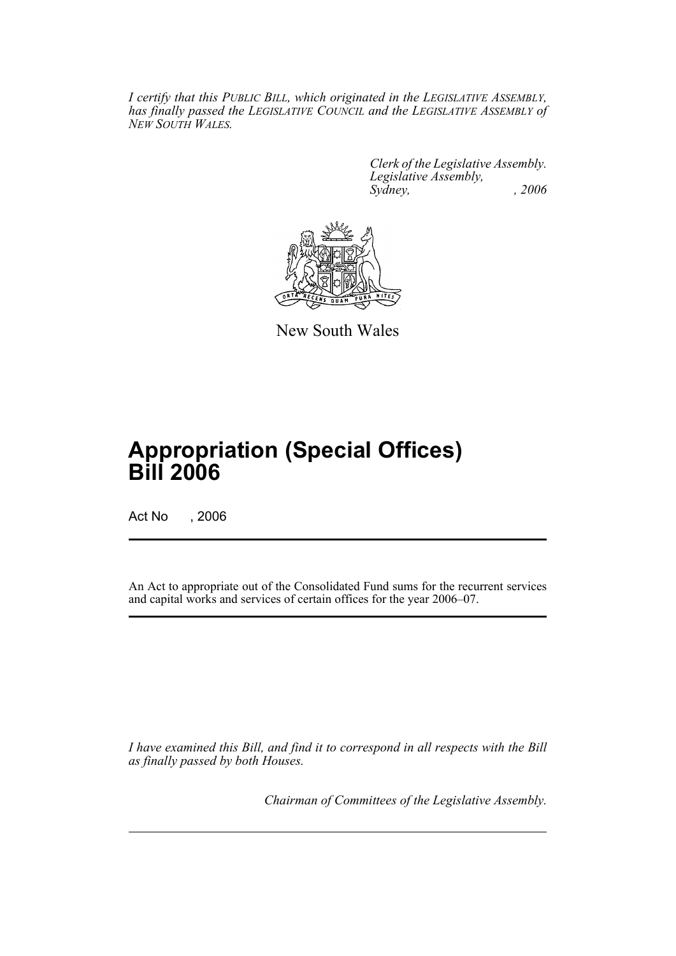*I certify that this PUBLIC BILL, which originated in the LEGISLATIVE ASSEMBLY, has finally passed the LEGISLATIVE COUNCIL and the LEGISLATIVE ASSEMBLY of NEW SOUTH WALES.*

> *Clerk of the Legislative Assembly. Legislative Assembly, Sydney, , 2006*



New South Wales

# **Appropriation (Special Offices) Bill 2006**

Act No , 2006

An Act to appropriate out of the Consolidated Fund sums for the recurrent services and capital works and services of certain offices for the year 2006–07.

*I have examined this Bill, and find it to correspond in all respects with the Bill as finally passed by both Houses.*

*Chairman of Committees of the Legislative Assembly.*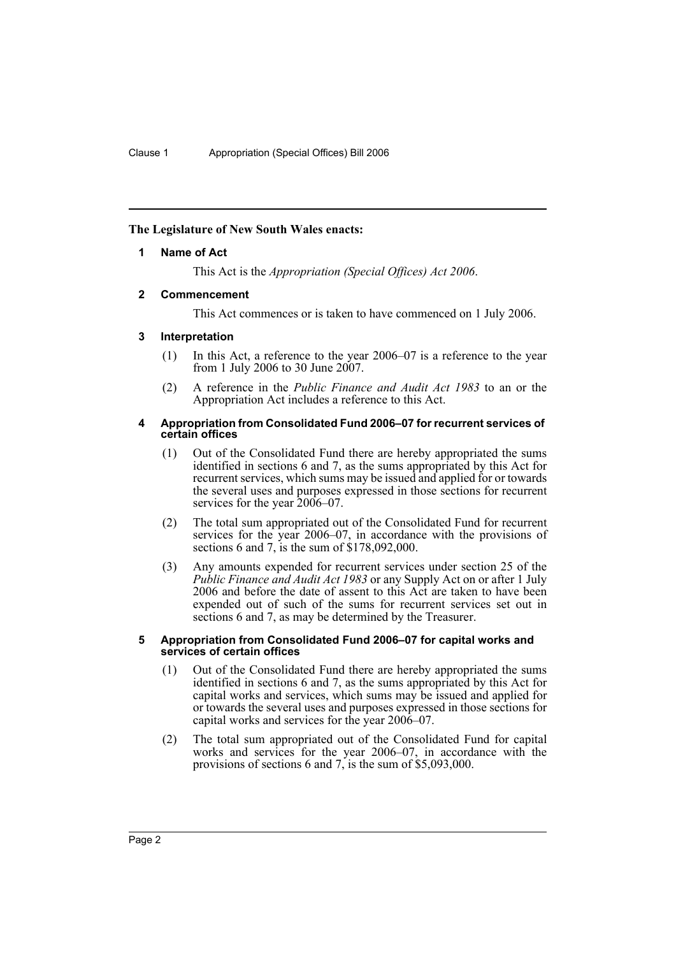## **The Legislature of New South Wales enacts:**

## **1 Name of Act**

This Act is the *Appropriation (Special Offices) Act 2006*.

## **2 Commencement**

This Act commences or is taken to have commenced on 1 July 2006.

## **3 Interpretation**

- (1) In this Act, a reference to the year 2006–07 is a reference to the year from 1 July 2006 to 30 June 2007.
- (2) A reference in the *Public Finance and Audit Act 1983* to an or the Appropriation Act includes a reference to this Act.

#### **4 Appropriation from Consolidated Fund 2006–07 for recurrent services of certain offices**

- (1) Out of the Consolidated Fund there are hereby appropriated the sums identified in sections 6 and 7, as the sums appropriated by this Act for recurrent services, which sums may be issued and applied for or towards the several uses and purposes expressed in those sections for recurrent services for the year 2006–07.
- (2) The total sum appropriated out of the Consolidated Fund for recurrent services for the year 2006–07, in accordance with the provisions of sections 6 and 7, is the sum of \$178,092,000.
- (3) Any amounts expended for recurrent services under section 25 of the *Public Finance and Audit Act 1983* or any Supply Act on or after 1 July 2006 and before the date of assent to this Act are taken to have been expended out of such of the sums for recurrent services set out in sections 6 and 7, as may be determined by the Treasurer.

#### **5 Appropriation from Consolidated Fund 2006–07 for capital works and services of certain offices**

- (1) Out of the Consolidated Fund there are hereby appropriated the sums identified in sections 6 and 7, as the sums appropriated by this Act for capital works and services, which sums may be issued and applied for or towards the several uses and purposes expressed in those sections for capital works and services for the year 2006–07.
- (2) The total sum appropriated out of the Consolidated Fund for capital works and services for the year 2006–07, in accordance with the provisions of sections 6 and 7, is the sum of \$5,093,000.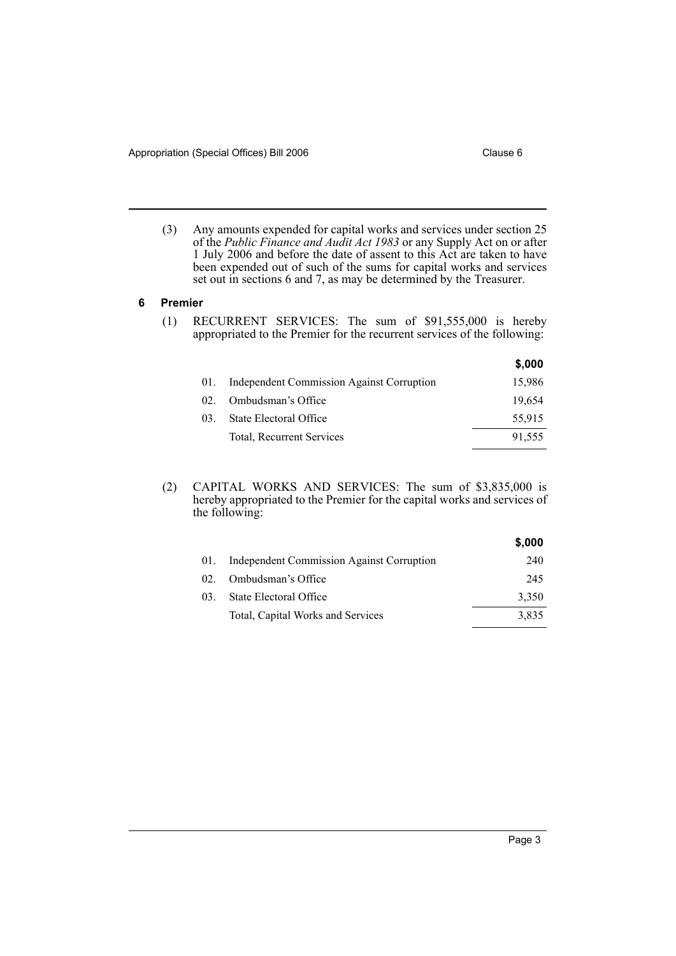(3) Any amounts expended for capital works and services under section 25 of the *Public Finance and Audit Act 1983* or any Supply Act on or after 1 July 2006 and before the date of assent to this Act are taken to have been expended out of such of the sums for capital works and services set out in sections 6 and 7, as may be determined by the Treasurer.

#### **6 Premier**

(1) RECURRENT SERVICES: The sum of \$91,555,000 is hereby appropriated to the Premier for the recurrent services of the following:

|     |                                           | \$,000 |
|-----|-------------------------------------------|--------|
| 01. | Independent Commission Against Corruption | 15,986 |
| 02  | Ombudsman's Office                        | 19.654 |
| 03. | State Electoral Office                    | 55,915 |
|     | Total, Recurrent Services                 | 91,555 |

(2) CAPITAL WORKS AND SERVICES: The sum of \$3,835,000 is hereby appropriated to the Premier for the capital works and services of the following:

|          |                                           | \$,000 |
|----------|-------------------------------------------|--------|
| 01.      | Independent Commission Against Corruption | 240    |
| $02_{-}$ | Ombudsman's Office                        | 245    |
| 03.      | State Electoral Office                    | 3,350  |
|          | Total, Capital Works and Services         | 3,835  |
|          |                                           |        |

**\$,000**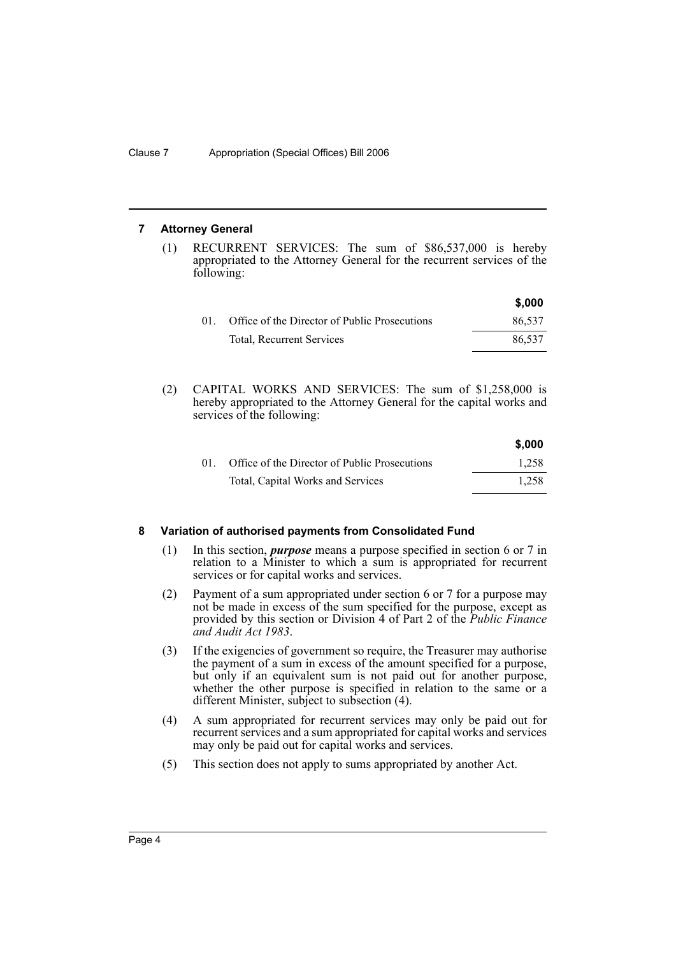### **7 Attorney General**

(1) RECURRENT SERVICES: The sum of \$86,537,000 is hereby appropriated to the Attorney General for the recurrent services of the following:

|     |                                               | \$,000 |
|-----|-----------------------------------------------|--------|
| -01 | Office of the Director of Public Prosecutions | 86.537 |
|     | <b>Total, Recurrent Services</b>              | 86.537 |

(2) CAPITAL WORKS AND SERVICES: The sum of \$1,258,000 is hereby appropriated to the Attorney General for the capital works and services of the following:

|                                               | \$,000 |
|-----------------------------------------------|--------|
| Office of the Director of Public Prosecutions | 1.258  |
| Total, Capital Works and Services             | 1.258  |

## **8 Variation of authorised payments from Consolidated Fund**

- (1) In this section, *purpose* means a purpose specified in section 6 or 7 in relation to a Minister to which a sum is appropriated for recurrent services or for capital works and services.
- (2) Payment of a sum appropriated under section 6 or 7 for a purpose may not be made in excess of the sum specified for the purpose, except as provided by this section or Division 4 of Part 2 of the *Public Finance and Audit Act 1983*.
- (3) If the exigencies of government so require, the Treasurer may authorise the payment of a sum in excess of the amount specified for a purpose, but only if an equivalent sum is not paid out for another purpose, whether the other purpose is specified in relation to the same or a different Minister, subject to subsection (4).
- (4) A sum appropriated for recurrent services may only be paid out for recurrent services and a sum appropriated for capital works and services may only be paid out for capital works and services.
- (5) This section does not apply to sums appropriated by another Act.